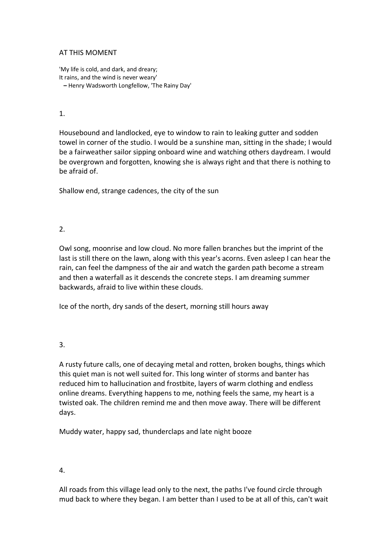## AT THIS MOMENT

'My life is cold, and dark, and dreary; It rains, and the wind is never weary'  **–** Henry Wadsworth Longfellow, 'The Rainy Day'

#### 1.

Housebound and landlocked, eye to window to rain to leaking gutter and sodden towel in corner of the studio. I would be a sunshine man, sitting in the shade; I would be a fairweather sailor sipping onboard wine and watching others daydream. I would be overgrown and forgotten, knowing she is always right and that there is nothing to be afraid of.

Shallow end, strange cadences, the city of the sun

# $2<sub>1</sub>$

Owl song, moonrise and low cloud. No more fallen branches but the imprint of the last is still there on the lawn, along with this year's acorns. Even asleep I can hear the rain, can feel the dampness of the air and watch the garden path become a stream and then a waterfall as it descends the concrete steps. I am dreaming summer backwards, afraid to live within these clouds.

Ice of the north, dry sands of the desert, morning still hours away

# 3.

A rusty future calls, one of decaying metal and rotten, broken boughs, things which this quiet man is not well suited for. This long winter of storms and banter has reduced him to hallucination and frostbite, layers of warm clothing and endless online dreams. Everything happens to me, nothing feels the same, my heart is a twisted oak. The children remind me and then move away. There will be different days.

Muddy water, happy sad, thunderclaps and late night booze

#### 4.

All roads from this village lead only to the next, the paths I've found circle through mud back to where they began. I am better than I used to be at all of this, can't wait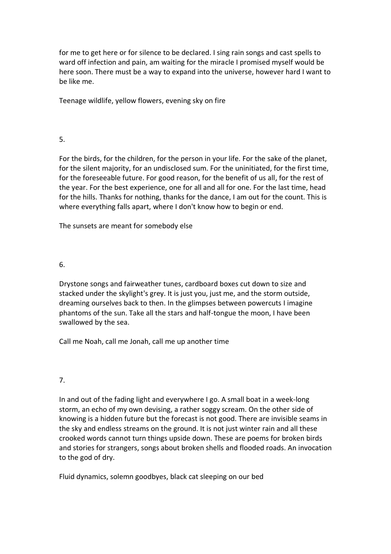for me to get here or for silence to be declared. I sing rain songs and cast spells to ward off infection and pain, am waiting for the miracle I promised myself would be here soon. There must be a way to expand into the universe, however hard I want to be like me.

Teenage wildlife, yellow flowers, evening sky on fire

# 5.

For the birds, for the children, for the person in your life. For the sake of the planet, for the silent majority, for an undisclosed sum. For the uninitiated, for the first time, for the foreseeable future. For good reason, for the benefit of us all, for the rest of the year. For the best experience, one for all and all for one. For the last time, head for the hills. Thanks for nothing, thanks for the dance, I am out for the count. This is where everything falls apart, where I don't know how to begin or end.

The sunsets are meant for somebody else

## 6.

Drystone songs and fairweather tunes, cardboard boxes cut down to size and stacked under the skylight's grey. It is just you, just me, and the storm outside, dreaming ourselves back to then. In the glimpses between powercuts I imagine phantoms of the sun. Take all the stars and half-tongue the moon, I have been swallowed by the sea.

Call me Noah, call me Jonah, call me up another time

# 7.

In and out of the fading light and everywhere I go. A small boat in a week-long storm, an echo of my own devising, a rather soggy scream. On the other side of knowing is a hidden future but the forecast is not good. There are invisible seams in the sky and endless streams on the ground. It is not just winter rain and all these crooked words cannot turn things upside down. These are poems for broken birds and stories for strangers, songs about broken shells and flooded roads. An invocation to the god of dry.

Fluid dynamics, solemn goodbyes, black cat sleeping on our bed